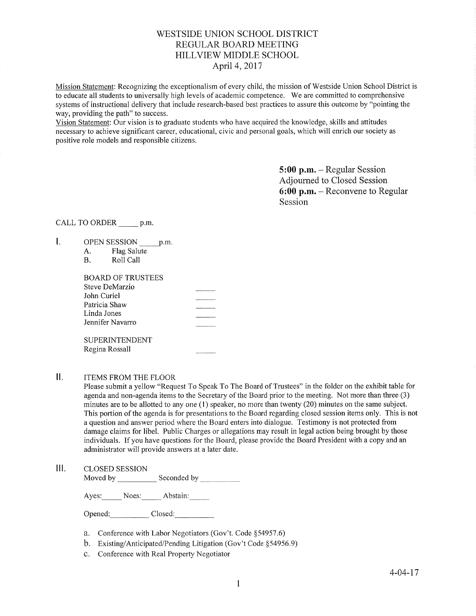# WESTSIDE UNION SCHOOL DISTRICT REGULAR BOARD MEETING HILLVIEW MIDDLE SCHOOL April 4, 2017

Mission Statement: Recognizing the exceptionalism of every child, the mission of Westside Union School District is to educate all students to universally high levels of academic competence. We are committed to comprehensive systems of instructional delivery that include research-based best practices to assure this outcome by "pointing the way, providing the path" to success.

Vision Statement: Our vision is to graduate students who have acquired the knowledge, skills and attitudes necessary to achieve significant career, educational, civic and personal goals, which will enrich our society as positive role models and responsible citizens.

> 5:00 p.m. - Regular Session Adjourned to Closed Session 6:00 p.m. - Reconvene to Regular Session

CALL TO ORDER \_\_\_\_\_\_ p.m.

- I. OPEN SESSION p.m.
	- A. Flag Salute B. Roll Call

| <b>BOARD OF TRUSTEES</b> |  |
|--------------------------|--|
| Steve DeMarzio           |  |
| John Curiel              |  |
| Patricia Shaw            |  |
| Linda Jones              |  |
| Jennifer Navarro         |  |
|                          |  |
| <b>SUPERINTENDENT</b>    |  |

 $II.$ ITEMS FROM THE FLOOR

Regina Rossall

Please submit a yellow "Request To Speak To The Board of Trustees" in the folder on the exhibit table for agenda and non-agenda items to the Secretary of the Board prior to the meeting. Not more than three (3) minutes are to be allotted to any one (l) speaker, no more than twenty (20) minutes on the same subject. This portion of the agenda is for presentations to the Board regarding closed session items only. This is not a question and answer period where the Board enters into dialogue. Testimony is not protected from damage claims for libel. Public Charges or allegations may result in legal action being brought by those individuals. If you have questions for the Board, please provide the Board President with a copy and an administrator will provide answers at a later date.

III. CLoSED SESSIoN

Moved by Seconded by

Ayes: Noes: Abstain:

Opened: Closed:

- a. Conference with Labor Negotiators (Gov't. Code \$54957.6)
- b. Existing/Anticipated/Pending Litigation (Gov't Code \$54956.9)
- c. Conference with Real Property Negotiator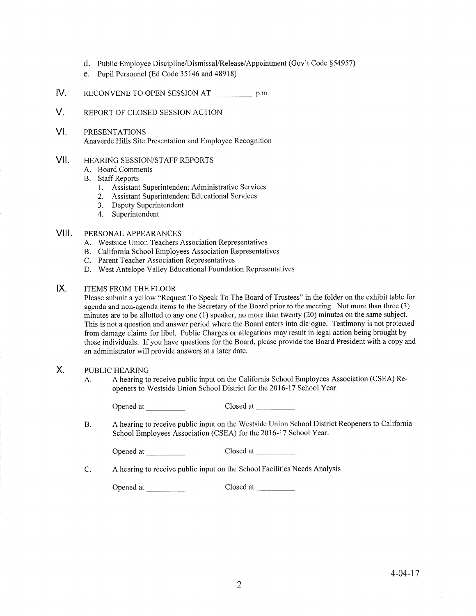- d. Public Employee Discipline/Dismissal/Release/Appointment (Gov't Code \$54957)
- e. Pupil Personnel (Ed Code 35146 and 48918)
- IV RECONVENE TO OPEN SESSION AT p.m.
- V. REPORT OF CLOSED SESSION ACTION
- VI PRESENTATIONS Anaverde Hills Site Presentation and Employee Recognition

#### vil HEARING SESSION/STAFF REPORTS

- A. Board Comments
- B. Staff Reports
	- l. Assistant Superintendent Administrative Services
	- 2. Assistant Superintendent Educational Services
	- 3. Deputy Superintendent
	- 4. Superintendent

# VIII. PERSONAL APPEARANCES

- A. Westside Union Teachers Association Representatives
- B. California School Employees Association Representatives
- C. Parent Teacher Association Representatives
- D. West Antelope Valley Educational Foundation Representatives

#### $IX.$ ITEMS FROM THE FLOOR

Please submit a yellow "Request To Speak To The Board of Trustees" in the folder on the exhibit table for agenda and non-agenda items to the Secretary of the Board prior to the meeting. Not more than three (3) minutes are to be allotted to any one (1) speaker, no more than twenty (20) minutes on the same subject. This is not a question and answer period where the Board enters into dialogue. Testimony is not protected from damage claims for libel. Public Charges or allegations may result in legal action being brought by those individuals. If you have questions for the Board, please provide the Board President with a copy and an administrator will provide answers at a later date.

#### X. PUBLIC HEARING

A. A hearing to receive public input on the California School Employees Association (CSEA) Reopeners to Westside Union School District for the 2016-17 School Year.

Opened at Closed at Closed at Closed at Closed at Closed at Closed at Closed at Closed at Closed at Closed at Closed at Closed at Closed at Closed at Closed at Closed at Closed at Closed at Closed at Closed at Closed at Cl

A hearing to receive public input on the Westside Union School District Reopeners to California School Employees Association (CSEA) for the 2016-17 School Year. B.

Opened at Closed at

C. <sup>A</sup>hearing to receive public input on the School Facilities Needs Analysis

Opened af \_ Closed at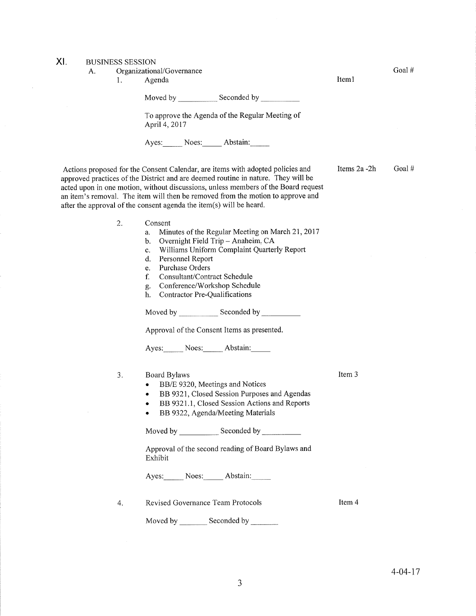XI. BUSINESS SESSION

|  | A. | Organizational/Governance |
|--|----|---------------------------|
|--|----|---------------------------|

1. Agenda

Moved by \_\_\_\_\_\_\_\_\_\_\_\_\_ Seconded by

To approve the Agenda of the Regular Meeting of April4,2017

Ayes: Noes: Abstain:

Actions proposed for the Consent Calendar, are items with adopted policies and approved practices of the District and are deemed routine in nature. They will be acted upon in one motion, without discussions, unless members of the Board request an item's removal. The item will then be removed from the motion to approve and after the approval of the consent agenda the item(s) will be heard.

- a. Minutes of the Regular Meeting on March 21,2011
- b. Overnight Field Trip Anaheim, CA
- c. Williams Uniform Complaint Quarterly Report d. Personnel Report
- 
- e. Purchase Orders
- f. Consultant/Contract Schedule
- g. Conference/Workshop Schedule<br>h. Contractor Pre-Qualifications
- 

| Moved by | Seconded by |  |  |
|----------|-------------|--|--|
|          |             |  |  |

Approval of the Consent Items as presented.

Ayes: Noes: Abstain:

3. Board Bylaws

- BB/E 9320, Meetings and Notices
- . BB 9321, Closed Session Purposes and Agendas
- BB 9321.1, Closed Session Actions and Reports
- BB 9322, Agenda/Meeting Materials

Moved by Seconded by Seconded by Seconded by Seconded by Seconded by Seconded by Seconded by Seconded by Seconded by Seconded by Seconded by Seconded by Seconded by Seconded by Seconded by Seconded by Seconded by Seconded

Approval of the second reading of Board Bylaws and Exhibit 2. Consent<br>
a. Minutes of the Regular Meeting<br>
b. Overnight Field Trip – Anaheir<br>
c. Williams Uniform Complaint C<br>
d. Personnel Report<br>
e. Purchase Orders<br>
f. Consultant/Contract Schedule<br>
g. Conference/Workshop Schedul<br>
h

Ayes: Noes: Abstain:

4

Revised Governance Team Protocols

Moved by \_\_\_\_\_\_\_\_ Seconded by

Items  $2a - 2h$  Goal #

Item 3

Item 4

Goal #

Iteml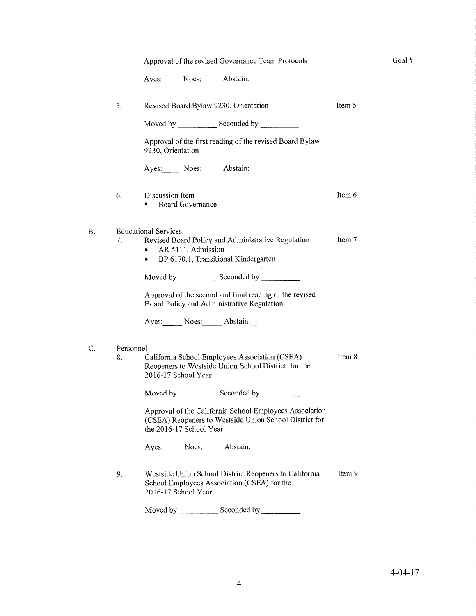|                 | Approval of the revised Governance Team Protocols                                                                                            |        | Goal#         |
|-----------------|----------------------------------------------------------------------------------------------------------------------------------------------|--------|---------------|
|                 | Ayes: Noes: Abstain:                                                                                                                         |        |               |
| 5.              | Revised Board Bylaw 9230, Orientation                                                                                                        | Item 5 |               |
|                 |                                                                                                                                              |        |               |
|                 | Approval of the first reading of the revised Board Bylaw<br>9230, Orientation                                                                |        |               |
|                 | Ayes: Noes: Abstain:                                                                                                                         |        |               |
| 6.              | Discussion Item<br><b>Board Governance</b><br>٠                                                                                              | Item 6 |               |
|                 | <b>Educational Services</b>                                                                                                                  |        |               |
| 7.              | Revised Board Policy and Administrative Regulation<br>AR 5111, Admission<br>$\bullet$                                                        | Item 7 |               |
|                 | • BP 6170.1, Transitional Kindergarten                                                                                                       |        |               |
|                 | Moved by Seconded by Seconded by                                                                                                             |        |               |
|                 | Approval of the second and final reading of the revised<br>Board Policy and Administrative Regulation                                        |        |               |
|                 | Ayes: Noes: Abstain:                                                                                                                         |        |               |
|                 |                                                                                                                                              |        |               |
| Personnel<br>8. | California School Employees Association (CSEA)<br>Reopeners to Westside Union School District for the<br>2016-17 School Year                 | Item 8 |               |
|                 |                                                                                                                                              |        |               |
|                 | Approval of the California School Employees Association<br>(CSEA) Reopeners to Westside Union School District for<br>the 2016-17 School Year |        |               |
|                 | Ayes: Noes: Abstain:                                                                                                                         |        |               |
| 9.              | Westside Union School District Reopeners to California<br>School Employees Association (CSEA) for the<br>2016-17 School Year                 | Item 9 |               |
|                 |                                                                                                                                              |        |               |
|                 |                                                                                                                                              |        |               |
|                 |                                                                                                                                              |        |               |
|                 |                                                                                                                                              |        | $4 - 04 - 17$ |
|                 | 4                                                                                                                                            |        |               |

B.

C

 $\sim$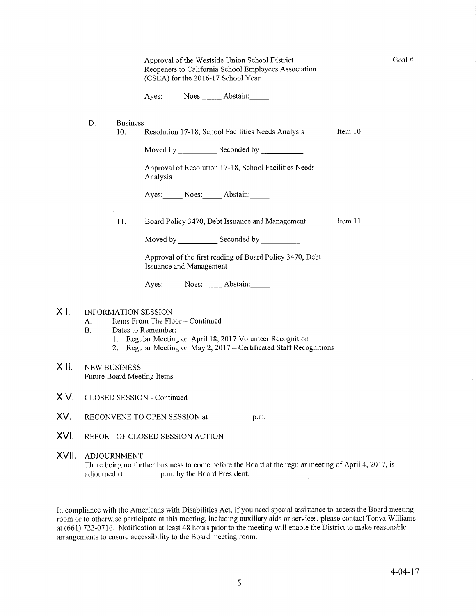| Approval of the Westside Union School District       |
|------------------------------------------------------|
| Reopeners to California School Employees Association |
| (CSEA) for the 2016-17 School Year                   |

Ayes: Noes: Abstain:

- Business D.
	- 10. Resolution 17-18, School Facilities Needs Analysis Item 10

Moved by Seconded by

Approval of Resolution 17-18, School Facilities Needs Analysis

Ayes: Noes: Abstain:

11. Board Policy 3470, Debt Issuance and Management Item 11

Moved by Seconded by

Approval of the first reading of Board Policy 3470, Debt Issuance and Management

Ayes: Noes: Abstain:

## XII. INFORMATION SESSION

- A. Items From The Floor Continued<br>B. Dates to Remember:
	- -
		- 1. Regular Meeting on April 18, 2017 Volunteer Recognition<br>2. Regular Meeting on May 2, 2017 Certificated Staff Recognitions
- XIII. NEW BUSINESS Future Board Meeting Items
- XIV. CLOSED SESSION - Continued
- XV. RECONVENE TO OPEN SESSION at p.m.
- XVI. REPORT OF CLOSED SESSION ACTION

## XVII ADJOURNMENT There being no further business to come before the Board at the regular meeting of April 4, 2017, is adjourned at p.m. by the Board President.

In compliance with the Americans with Disabilities Act, if you need special assistance to access the Board meeting room or to otherwise participate at this meeting, including auxiliary aids or services, please contact Tonya Williams at (661) 722-0716. Notification at least 48 hours prior to the meeting will enable the District to make reasonable arrangements to ensure accessibility to the Board meeting room.

Goal #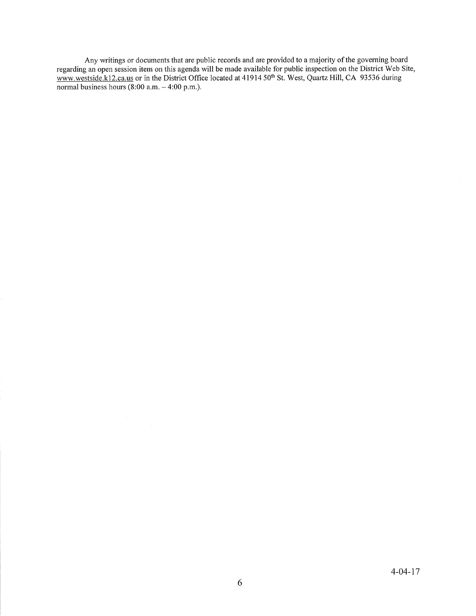Any writings or documents that are public records and are provided to a majority of the governing board regarding an open session item on this agenda will be made available for public inspection on the District Web Site, www.westside.k12.ca.us or in the District Office located at 41914 50<sup>th</sup> St. West, Quartz Hill, CA 93536 during normal business hours (8:00 a.m. – 4:00 p.m.)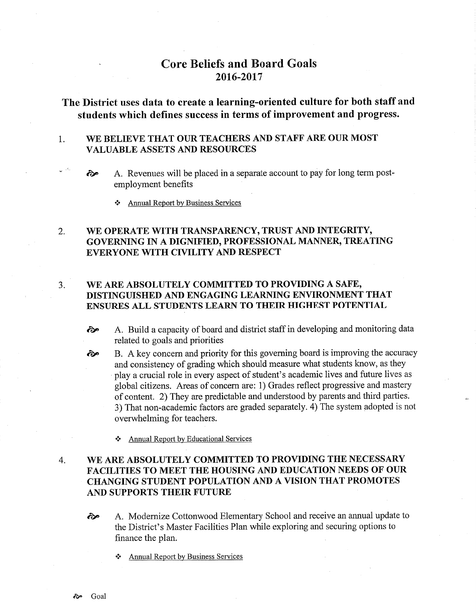# Core Beliefs and Board Goals 2016-2017

# The District uses data to create a learning-oriented culture for both staff and students which defïnes success in terms of improvement and progress.

### WE BELIEVE THAT OUR TEACHERS AND STAFF ARE OUR MOST VALUABLE ASSETS AND RESOURCES 1

- A. Revenues will be placed in a separate account to pay for long term postemployment benefits ôp
	- \* Annual ReÞort by Business Services

### WE OPERATE WITH TRANSPARENCY, TRUST AND INTEGRITY, GOVERNING IN A DIGNIFIED, PROFESSIONAL MANNER, TREATING EVERYONE WITH CIVILITY AND RESPECT 2

### WE ARE ABSOLUTELY COMMITTED TO PROVIDING A SAFE, DISTINGUISHED AND ENGAGING LEARNING ENVIRONMENT THAT ENSURES ALL STUDENTS LEARN TO THEIR HIGHEST POTENTIAL  $3.$

- èp A. Build a capacity of board and district staff in developing and monitoring data related to goals and priorities
- B. A key concem and priority for this governing board is improving the accuracy and consistency of grading which should measure what students know, as they play a crucial role in every aspect of student's academic lives and future lives as global citizens. Areas of concern are: 1) Grades reflect progressive and mastery of content. 2) They are predictable and understood by parents and third parties. 3) That non-academic factors are graded separately. 4) The system adopted is not overwhelming for teachers. ôe
	- \* Annual Report bv Educational Services

## WE ARE ABSOLUTELY COMMITTED TO PROVIDING THE NECESSARY FACILITIES TO MEET THE HOUSING AND EDUCATION NEEDS OF OUR CHANGING STUDENT POPULATION AND A VISION THAT PROMOTES AND SUPPORTS THEIR FUTURE 4.

- èe A. Modernize Cottonwood Elementary School and receive an annual update to the District's Master Facilities Plan while exploring and securing options to finance the plan.
	- Annual Report by Business Services

لكاري